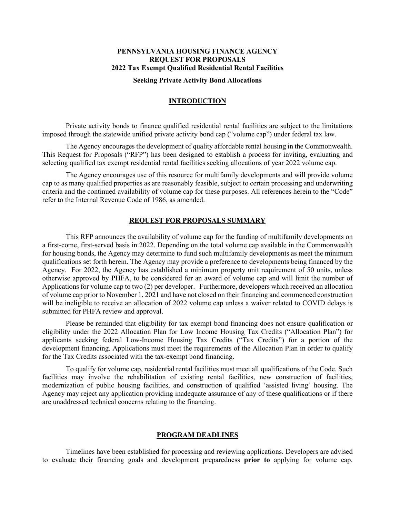#### **PENNSYLVANIA HOUSING FINANCE AGENCY REQUEST FOR PROPOSALS 2022 Tax Exempt Qualified Residential Rental Facilities**

#### **Seeking Private Activity Bond Allocations**

## **INTRODUCTION**

Private activity bonds to finance qualified residential rental facilities are subject to the limitations imposed through the statewide unified private activity bond cap ("volume cap") under federal tax law.

The Agency encourages the development of quality affordable rental housing in the Commonwealth. This Request for Proposals ("RFP") has been designed to establish a process for inviting, evaluating and selecting qualified tax exempt residential rental facilities seeking allocations of year 2022 volume cap.

The Agency encourages use of this resource for multifamily developments and will provide volume cap to as many qualified properties as are reasonably feasible, subject to certain processing and underwriting criteria and the continued availability of volume cap for these purposes. All references herein to the "Code" refer to the Internal Revenue Code of 1986, as amended.

#### **REQUEST FOR PROPOSALS SUMMARY**

 This RFP announces the availability of volume cap for the funding of multifamily developments on a first-come, first-served basis in 2022. Depending on the total volume cap available in the Commonwealth for housing bonds, the Agency may determine to fund such multifamily developments as meet the minimum qualifications set forth herein. The Agency may provide a preference to developments being financed by the Agency. For 2022, the Agency has established a minimum property unit requirement of 50 units, unless otherwise approved by PHFA, to be considered for an award of volume cap and will limit the number of Applications for volume cap to two (2) per developer. Furthermore, developers which received an allocation of volume cap prior to November 1, 2021 and have not closed on their financing and commenced construction will be ineligible to receive an allocation of 2022 volume cap unless a waiver related to COVID delays is submitted for PHFA review and approval.

Please be reminded that eligibility for tax exempt bond financing does not ensure qualification or eligibility under the 2022 Allocation Plan for Low Income Housing Tax Credits ("Allocation Plan") for applicants seeking federal Low-Income Housing Tax Credits ("Tax Credits") for a portion of the development financing. Applications must meet the requirements of the Allocation Plan in order to qualify for the Tax Credits associated with the tax-exempt bond financing.

To qualify for volume cap, residential rental facilities must meet all qualifications of the Code. Such facilities may involve the rehabilitation of existing rental facilities, new construction of facilities, modernization of public housing facilities, and construction of qualified 'assisted living' housing. The Agency may reject any application providing inadequate assurance of any of these qualifications or if there are unaddressed technical concerns relating to the financing.

#### **PROGRAM DEADLINES**

Timelines have been established for processing and reviewing applications. Developers are advised to evaluate their financing goals and development preparedness **prior to** applying for volume cap.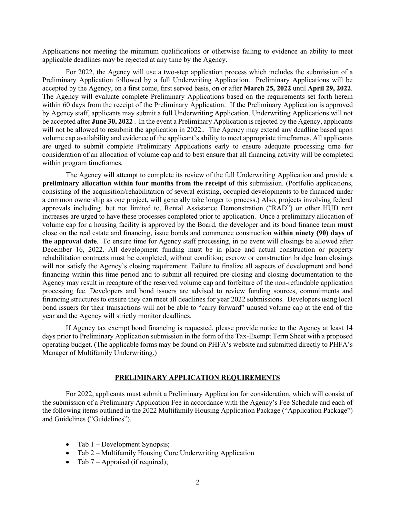Applications not meeting the minimum qualifications or otherwise failing to evidence an ability to meet applicable deadlines may be rejected at any time by the Agency.

For 2022, the Agency will use a two-step application process which includes the submission of a Preliminary Application followed by a full Underwriting Application. Preliminary Applications will be accepted by the Agency, on a first come, first served basis, on or after **March 25, 2022** until **April 29, 2022**. The Agency will evaluate complete Preliminary Applications based on the requirements set forth herein within 60 days from the receipt of the Preliminary Application. If the Preliminary Application is approved by Agency staff, applicants may submit a full Underwriting Application. Underwriting Applications will not be accepted after **June 30, 2022** . In the event a Preliminary Application is rejected by the Agency, applicants will not be allowed to resubmit the application in 2022.. The Agency may extend any deadline based upon volume cap availability and evidence of the applicant's ability to meet appropriate timeframes. All applicants are urged to submit complete Preliminary Applications early to ensure adequate processing time for consideration of an allocation of volume cap and to best ensure that all financing activity will be completed within program timeframes.

The Agency will attempt to complete its review of the full Underwriting Application and provide a preliminary allocation within four months from the receipt of this submission. (Portfolio applications, consisting of the acquisition/rehabilitation of several existing, occupied developments to be financed under a common ownership as one project, will generally take longer to process.) Also, projects involving federal approvals including, but not limited to, Rental Assistance Demonstration ("RAD") or other HUD rent increases are urged to have these processes completed prior to application. Once a preliminary allocation of volume cap for a housing facility is approved by the Board, the developer and its bond finance team **must** close on the real estate and financing, issue bonds and commence construction **within ninety (90) days of the approval date**. To ensure time for Agency staff processing, in no event will closings be allowed after December 16, 2022. All development funding must be in place and actual construction or property rehabilitation contracts must be completed, without condition; escrow or construction bridge loan closings will not satisfy the Agency's closing requirement. Failure to finalize all aspects of development and bond financing within this time period and to submit all required pre-closing and closing documentation to the Agency may result in recapture of the reserved volume cap and forfeiture of the non-refundable application processing fee. Developers and bond issuers are advised to review funding sources, commitments and financing structures to ensure they can meet all deadlines for year 2022 submissions. Developers using local bond issuers for their transactions will not be able to "carry forward" unused volume cap at the end of the year and the Agency will strictly monitor deadlines.

If Agency tax exempt bond financing is requested, please provide notice to the Agency at least 14 days prior to Preliminary Application submission in the form of the Tax-Exempt Term Sheet with a proposed operating budget. (The applicable forms may be found on PHFA's website and submitted directly to PHFA's Manager of Multifamily Underwriting.)

# **PRELIMINARY APPLICATION REQUIREMENTS**

For 2022, applicants must submit a Preliminary Application for consideration, which will consist of the submission of a Preliminary Application Fee in accordance with the Agency's Fee Schedule and each of the following items outlined in the 2022 Multifamily Housing Application Package ("Application Package") and Guidelines ("Guidelines").

- Tab  $1$  Development Synopsis;
- Tab 2 Multifamily Housing Core Underwriting Application
- Tab  $7 -$  Appraisal (if required);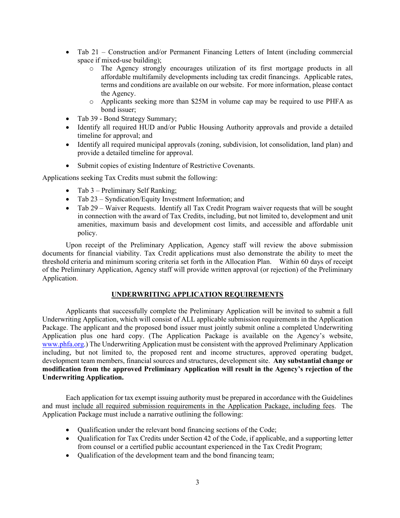- Tab 21 Construction and/or Permanent Financing Letters of Intent (including commercial space if mixed-use building);
	- o The Agency strongly encourages utilization of its first mortgage products in all affordable multifamily developments including tax credit financings. Applicable rates, terms and conditions are available on our website. For more information, please contact the Agency.
	- o Applicants seeking more than \$25M in volume cap may be required to use PHFA as bond issuer;
- Tab 39 Bond Strategy Summary;
- Identify all required HUD and/or Public Housing Authority approvals and provide a detailed timeline for approval; and
- Identify all required municipal approvals (zoning, subdivision, lot consolidation, land plan) and provide a detailed timeline for approval.
- Submit copies of existing Indenture of Restrictive Covenants.

Applications seeking Tax Credits must submit the following:

- Tab 3 Preliminary Self Ranking;
- Tab 23 Syndication/Equity Investment Information; and
- Tab 29 Waiver Requests. Identify all Tax Credit Program waiver requests that will be sought in connection with the award of Tax Credits, including, but not limited to, development and unit amenities, maximum basis and development cost limits, and accessible and affordable unit policy.

Upon receipt of the Preliminary Application, Agency staff will review the above submission documents for financial viability. Tax Credit applications must also demonstrate the ability to meet the threshold criteria and minimum scoring criteria set forth in the Allocation Plan. Within 60 days of receipt of the Preliminary Application, Agency staff will provide written approval (or rejection) of the Preliminary Application.

# **UNDERWRITING APPLICATION REQUIREMENTS**

Applicants that successfully complete the Preliminary Application will be invited to submit a full Underwriting Application, which will consist of ALL applicable submission requirements in the Application Package. The applicant and the proposed bond issuer must jointly submit online a completed Underwriting Application plus one hard copy. (The Application Package is available on the Agency's website, [www.phfa.org.](http://www.phfa.org/)) The Underwriting Application must be consistent with the approved Preliminary Application including, but not limited to, the proposed rent and income structures, approved operating budget, development team members, financial sources and structures, development site. **Any substantial change or modification from the approved Preliminary Application will result in the Agency's rejection of the Underwriting Application.**

Each application for tax exempt issuing authority must be prepared in accordance with the Guidelines and must include all required submission requirements in the Application Package, including fees. The Application Package must include a narrative outlining the following:

- Qualification under the relevant bond financing sections of the Code;
- Qualification for Tax Credits under Section 42 of the Code, if applicable, and a supporting letter from counsel or a certified public accountant experienced in the Tax Credit Program;
- Oualification of the development team and the bond financing team;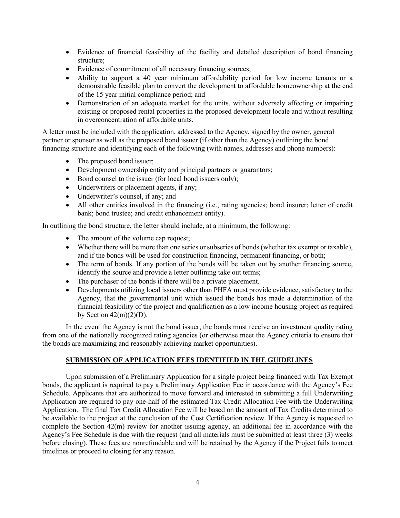- Evidence of financial feasibility of the facility and detailed description of bond financing structure;
- Evidence of commitment of all necessary financing sources;
- Ability to support a 40 year minimum affordability period for low income tenants or a demonstrable feasible plan to convert the development to affordable homeownership at the end of the 15 year initial compliance period; and
- Demonstration of an adequate market for the units, without adversely affecting or impairing existing or proposed rental properties in the proposed development locale and without resulting in overconcentration of affordable units.

A letter must be included with the application, addressed to the Agency, signed by the owner, general partner or sponsor as well as the proposed bond issuer (if other than the Agency) outlining the bond financing structure and identifying each of the following (with names, addresses and phone numbers):

- The proposed bond issuer;
- Development ownership entity and principal partners or guarantors;
- Bond counsel to the issuer (for local bond issuers only);
- Underwriters or placement agents, if any;
- Underwriter's counsel, if any; and
- All other entities involved in the financing (i.e., rating agencies; bond insurer; letter of credit bank; bond trustee; and credit enhancement entity).

In outlining the bond structure, the letter should include, at a minimum, the following:

- The amount of the volume cap request;
- Whether there will be more than one series or subseries of bonds (whether tax exempt or taxable), and if the bonds will be used for construction financing, permanent financing, or both;
- The term of bonds. If any portion of the bonds will be taken out by another financing source, identify the source and provide a letter outlining take out terms;
- The purchaser of the bonds if there will be a private placement.
- Developments utilizing local issuers other than PHFA must provide evidence, satisfactory to the Agency, that the governmental unit which issued the bonds has made a determination of the financial feasibility of the project and qualification as a low income housing project as required by Section  $42(m)(2)(D)$ .

In the event the Agency is not the bond issuer, the bonds must receive an investment quality rating from one of the nationally recognized rating agencies (or otherwise meet the Agency criteria to ensure that the bonds are maximizing and reasonably achieving market opportunities).

# **SUBMISSION OF APPLICATION FEES IDENTIFIED IN THE GUIDELINES**

Upon submission of a Preliminary Application for a single project being financed with Tax Exempt bonds, the applicant is required to pay a Preliminary Application Fee in accordance with the Agency's Fee Schedule. Applicants that are authorized to move forward and interested in submitting a full Underwriting Application are required to pay one-half of the estimated Tax Credit Allocation Fee with the Underwriting Application. The final Tax Credit Allocation Fee will be based on the amount of Tax Credits determined to be available to the project at the conclusion of the Cost Certification review. If the Agency is requested to complete the Section 42(m) review for another issuing agency, an additional fee in accordance with the Agency's Fee Schedule is due with the request (and all materials must be submitted at least three (3) weeks before closing). These fees are nonrefundable and will be retained by the Agency if the Project fails to meet timelines or proceed to closing for any reason.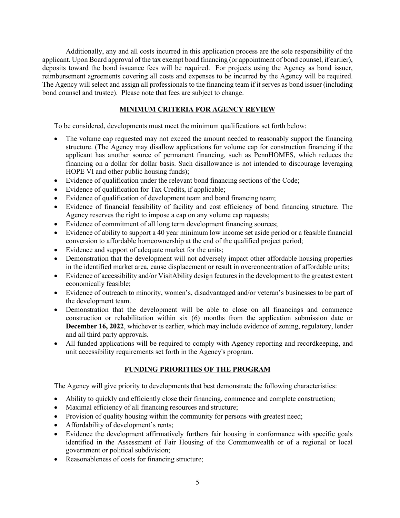Additionally, any and all costs incurred in this application process are the sole responsibility of the applicant. Upon Board approval of the tax exempt bond financing (or appointment of bond counsel, if earlier), deposits toward the bond issuance fees will be required. For projects using the Agency as bond issuer, reimbursement agreements covering all costs and expenses to be incurred by the Agency will be required. The Agency will select and assign all professionals to the financing team if it serves as bond issuer (including bond counsel and trustee). Please note that fees are subject to change.

# **MINIMUM CRITERIA FOR AGENCY REVIEW**

To be considered, developments must meet the minimum qualifications set forth below:

- The volume cap requested may not exceed the amount needed to reasonably support the financing structure. (The Agency may disallow applications for volume cap for construction financing if the applicant has another source of permanent financing, such as PennHOMES, which reduces the financing on a dollar for dollar basis. Such disallowance is not intended to discourage leveraging HOPE VI and other public housing funds);
- Evidence of qualification under the relevant bond financing sections of the Code;
- Evidence of qualification for Tax Credits, if applicable;
- Evidence of qualification of development team and bond financing team;
- Evidence of financial feasibility of facility and cost efficiency of bond financing structure. The Agency reserves the right to impose a cap on any volume cap requests;
- Evidence of commitment of all long term development financing sources;
- Evidence of ability to support a 40 year minimum low income set aside period or a feasible financial conversion to affordable homeownership at the end of the qualified project period;
- Evidence and support of adequate market for the units;
- Demonstration that the development will not adversely impact other affordable housing properties in the identified market area, cause displacement or result in overconcentration of affordable units;
- Evidence of accessibility and/or VisitAbility design features in the development to the greatest extent economically feasible;
- Evidence of outreach to minority, women's, disadvantaged and/or veteran's businesses to be part of the development team.
- Demonstration that the development will be able to close on all financings and commence construction or rehabilitation within six (6) months from the application submission date or **December 16, 2022**, whichever is earlier, which may include evidence of zoning, regulatory, lender and all third party approvals.
- All funded applications will be required to comply with Agency reporting and recordkeeping, and unit accessibility requirements set forth in the Agency's program.

# **FUNDING PRIORITIES OF THE PROGRAM**

The Agency will give priority to developments that best demonstrate the following characteristics:

- Ability to quickly and efficiently close their financing, commence and complete construction;
- Maximal efficiency of all financing resources and structure;
- Provision of quality housing within the community for persons with greatest need;
- Affordability of development's rents;
- Evidence the development affirmatively furthers fair housing in conformance with specific goals identified in the Assessment of Fair Housing of the Commonwealth or of a regional or local government or political subdivision;
- Reasonableness of costs for financing structure;